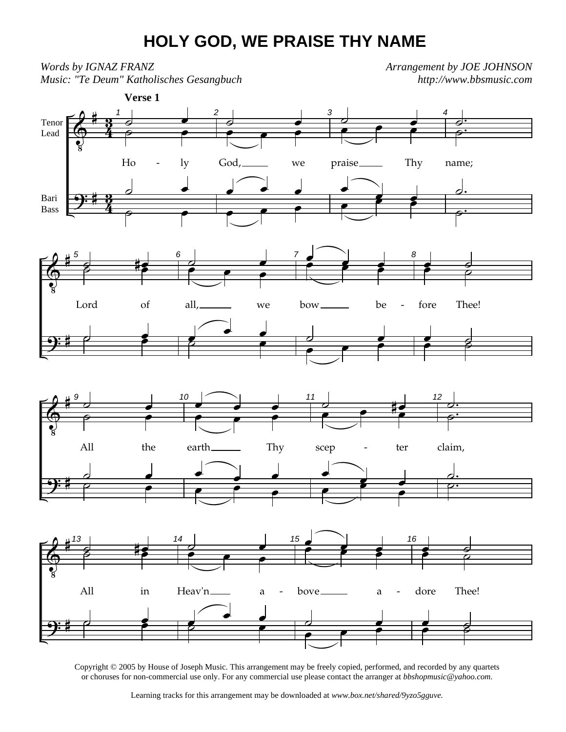## **HOLY GOD, WE PRAISE THY NAME**

 $\pmb{\Theta}$  $\overline{\mathbf{P}}$ # #  $\frac{3}{4}$ <u>ភ្</u>  $\frac{3}{4}$ <u>จู</u> Tenor Lead Bari Bass 1 ˙ œ  $\overline{\bullet}$   $\overline{\bullet}$  $Ho$  -  $ly$ ˙ œ  $\overline{\ }$ **Verse 1** 2  $\frac{1}{2}$  $\bullet$   $\bullet$   $\bullet$ God, we  $\int$   $\frac{1}{e}$  $\overline{\qquad \qquad }$ 3  $\frac{1}{2}$  e  $\frac{2}{2}$ œ œ œ praise Thy œ  $\frac{1}{2}$ œ œ œ 4 ˙. نه<br>أح name; <u>d.</u> —<br>|<br>|<br>| -  $\pmb{\Phi}$  $\overline{\mathbf{P}}$ # # 5  $\frac{1}{3}$ Lord of **d** 6 ˙ œ ⊘<br>● ●<br>▽ ● all, we œ  $\frac{1}{\epsilon}$  $\overline{\mathbf{z}}$  $rac{7}{100}$ œ œœ œœ bow be  $\overline{\phantom{a}}$ ∞<br>● ● 8  $\bullet$ fore Thee! <u>∎</u><br>● -  $\bigoplus$  $\overline{\mathbf{P}}$ # # 9 ˙ œ  $\overline{\ }$ All the ˙ œ  $\overline{c}$   $\overline{c}$ 10 œ œ œ  $\overline{\mathbf{e}^{\mathbf{e}}$ earth Thy  $\frac{1}{2}$  $\begin{array}{|c|c|c|c|}\n\hline\n\textcolor{red}{\textbf{e}} & \textcolor{red}{\textbf{e}} & \textcolor{red}{\textbf{e}} \\
\hline\n\textcolor{red}{\textbf{e}} & \textcolor{red}{\textbf{e}} & \textcolor{red}{\textbf{e}} \\
\hline\n\textcolor{red}{\textbf{e}} & \textcolor{red}{\textbf{e}} & \textcolor{red}{\textbf{e}} \\
\hline\n\textcolor{red}{\textbf{e}} & \textcolor{red}{\textbf{e}} & \textcolor{red}{\textbf{e}} \\
\hline\n\textcolor{red}{\textbf{e}} & \textcolor{red}{\textbf{e}} & \text$ 11  $\frac{1}{2}$  e is  $e$  e  $e$ scep - ter œ  $\frac{1}{\epsilon}$ œ **z** œ 12 ˙. .<br>.<br>ا claim, <u>」</u> ˙. -  $\pmb{\Phi}$  $\overline{\mathbf{P}}$ # # 13  $\frac{1}{3}$ All in  $\overrightarrow{c}$ 14 ˙ œ ⊘<br>● ● ●<br>▽ ● Heav'n\_\_\_\_\_ a œ  $\frac{1}{\epsilon}$  $\overline{\mathbf{z}}$ 15 œ œœ œœ - bove\_\_\_\_\_\_ a - $\overline{\phantom{a}}$ ∞ ●<br>● ● 16  $\frac{e}{\sqrt{e}}$ dore Thee! œ ˙ œ ˙ *Words by IGNAZ FRANZ Music: "Te Deum" Katholisches Gesangbuch Arrangement by JOE JOHNSON http://www.bbsmusic.com*

Copyright © 2005 by House of Joseph Music. This arrangement may be freely copied, performed, and recorded by any quartets or choruses for non-commercial use only. For any commercial use please contact the arranger at *bbshopmusic@yahoo.com*.

Learning tracks for this arrangement may be downloaded at *www.box.net/shared/9yzo5gguve.*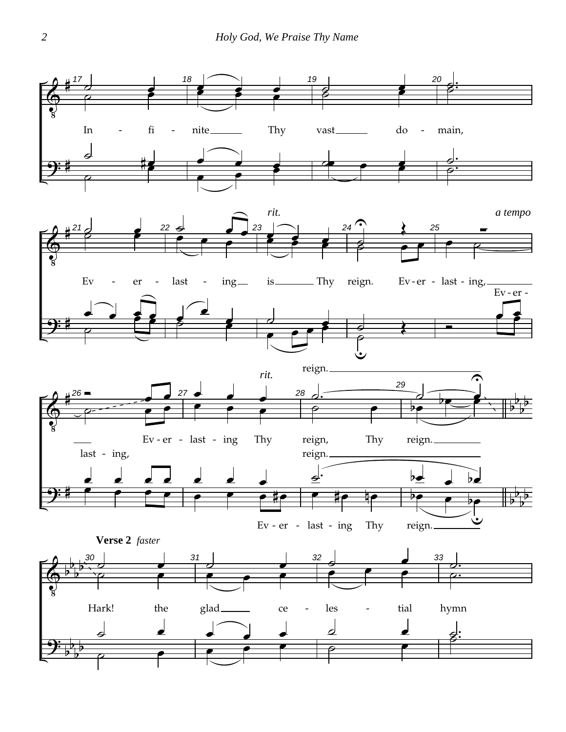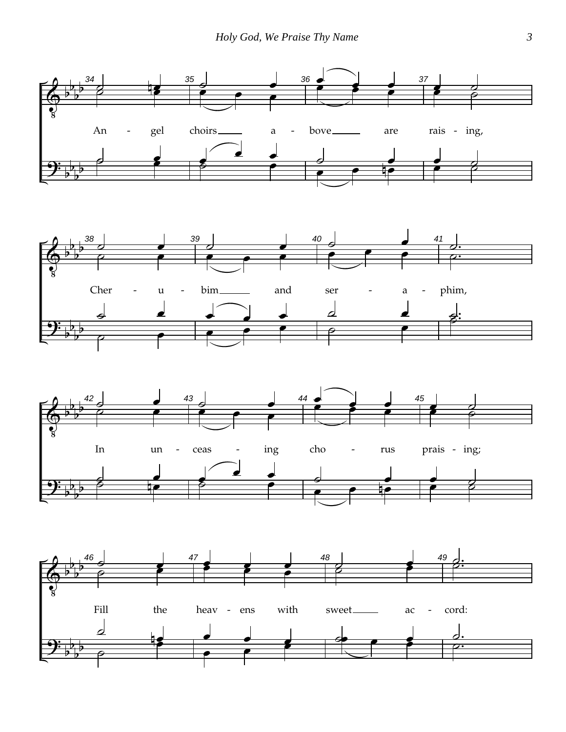